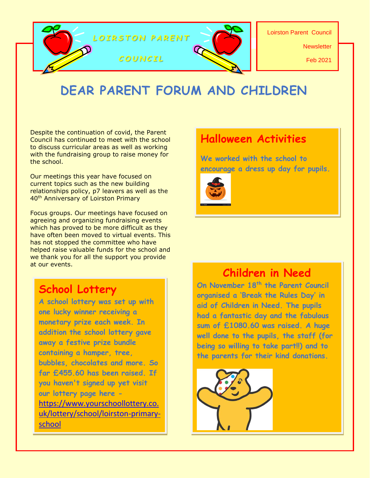

# **DEAR PARENT FORUM AND CHILDREN**

Despite the continuation of covid, the Parent Council has continued to meet with the school to discuss curricular areas as well as working with the fundraising group to raise money for the school.

Our meetings this year have focused on current topics such as the new building relationships policy, p7 leavers as well as the 40<sup>th</sup> Anniversary of Loirston Primary

Focus groups. Our meetings have focused on agreeing and organizing fundraising events which has proved to be more difficult as they have often been moved to virtual events. This has not stopped the committee who have helped raise valuable funds for the school and we thank you for all the support you provide at our events.

### **School Lottery**

**A school lottery was set up with one lucky winner receiving a monetary prize each week. In addition the school lottery gave away a festive prize bundle containing a hamper, tree, bubbles, chocolates and more. So far £455.60 has been raised. If you haven't signed up yet visit our lottery page here**  [https://www.yourschoollottery.co.](https://www.yourschoollottery.co.uk/lottery/school/loirston-primary-school) [uk/lottery/school/loirston-primary](https://www.yourschoollottery.co.uk/lottery/school/loirston-primary-school)[school](https://www.yourschoollottery.co.uk/lottery/school/loirston-primary-school)

# **Halloween Activities**

**We worked with the school to encourage a dress up day for pupils.**



## **Children in Need**

**On November 18th the Parent Council organised a 'Break the Rules Day' in aid of Children in Need. The pupils had a fantastic day and the fabulous sum of £1080.60 was raised. A huge well done to the pupils, the staff (for being so willing to take part!!) and to the parents for their kind donations.**

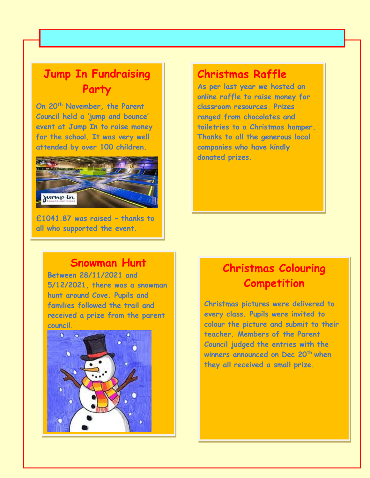# **Jump In Fundraising Party**

**On 20th November, the Parent Council held a 'jump and bounce' event at Jump In to raise money for the school. It was very well attended by over 100 children.**



**£1041.87 was raised – thanks to all who supported the event.**

### **Christmas Raffle**

**As per last year we hosted an online raffle to raise money for classroom resources. Prizes ranged from chocolates and toiletries to a Christmas hamper. Thanks to all the generous local companies who have kindly donated prizes.**

#### **Snowman Hunt**

**Between 28/11/2021 and 5/12/2021, there was a snowman hunt around Cove. Pupils and families followed the trail and received a prize from the parent council.**



# **Christmas Colouring Competition**

**Christmas pictures were delivered to every class. Pupils were invited to colour the picture and submit to their teacher. Members of the Parent Council judged the entries with the winners announced on Dec 20th when they all received a small prize.**